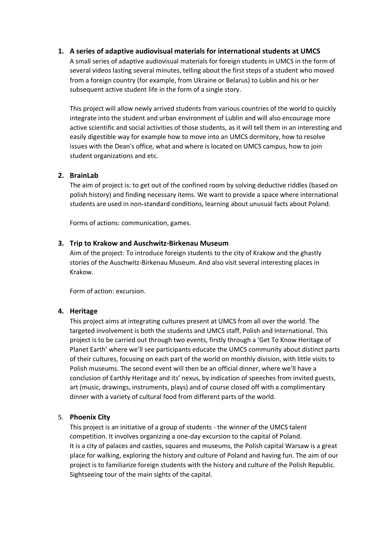# **1. A series of adaptive audiovisual materials for international students at UMCS**

A small series of adaptive audiovisual materials for foreign students in UMCS in the form of several videos lasting several minutes, telling about the first steps of a student who moved from a foreign country (for example, from Ukraine or Belarus) to Lublin and his or her subsequent active student life in the form of a single story.

This project will allow newly arrived students from various countries of the world to quickly integrate into the student and urban environment of Lublin and will also encourage more active scientific and social activities of those students, as it will tell them in an interesting and easily digestible way for example how to move into an UMCS dormitory, how to resolve issues with the Dean's office, what and where is located on UMCS campus, how to join student organizations and etc.

## **2. BrainLab**

The aim of project is: to get out of the confined room by solving deductive riddles (based on polish history) and finding necessary items. We want to provide a space where international students are used in non-standard conditions, learning about unusual facts about Poland.

Forms of actions: communication, games.

## **3. Trip to Krakow and Auschwitz-Birkenau Museum**

Aim of the project: To introduce foreign students to the city of Krakow and the ghastly stories of the Auschwitz-Birkenau Museum. And also visit several interesting places in Krakow.

Form of action: excursion.

#### **4. Heritage**

This project aims at integrating cultures present at UMCS from all over the world. The targeted involvement is both the students and UMCS staff, Polish and International. This project is to be carried out through two events, firstly through a 'Get To Know Heritage of Planet Earth' where we'll see participants educate the UMCS community about distinct parts of their cultures, focusing on each part of the world on monthly division, with little visits to Polish museums. The second event will then be an official dinner, where we'll have a conclusion of Earthly Heritage and its' nexus, by indication of speeches from invited guests, art (music, drawings, instruments, plays) and of course closed off with a complimentary dinner with a variety of cultural food from different parts of the world.

#### 5. **Phoenix City**

This project is an initiative of a group of students - the winner of the UMCS talent competition. It involves organizing a one-day excursion to the capital of Poland. It is a city of palaces and castles, squares and museums, the Polish capital Warsaw is a great place for walking, exploring the history and culture of Poland and having fun. The aim of our project is to familiarize foreign students with the history and culture of the Polish Republic. Sightseeing tour of the main sights of the capital.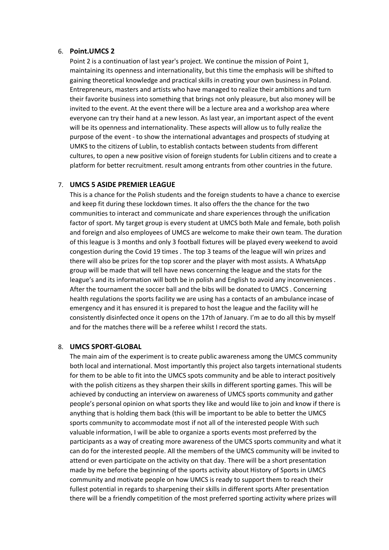#### 6. **Point.UMCS 2**

Point 2 is a continuation of last year's project. We continue the mission of Point 1, maintaining its openness and internationality, but this time the emphasis will be shifted to gaining theoretical knowledge and practical skills in creating your own business in Poland. Entrepreneurs, masters and artists who have managed to realize their ambitions and turn their favorite business into something that brings not only pleasure, but also money will be invited to the event. At the event there will be a lecture area and a workshop area where everyone can try their hand at a new lesson. As last year, an important aspect of the event will be its openness and internationality. These aspects will allow us to fully realize the purpose of the event - to show the international advantages and prospects of studying at UMKS to the citizens of Lublin, to establish contacts between students from different cultures, to open a new positive vision of foreign students for Lublin citizens and to create a platform for better recruitment. result among entrants from other countries in the future.

## 7. **UMCS 5 ASIDE PREMIER LEAGUE**

This is a chance for the Polish students and the foreign students to have a chance to exercise and keep fit during these lockdown times. It also offers the the chance for the two communities to interact and communicate and share experiences through the unification factor of sport. My target group is every student at UMCS both Male and female, both polish and foreign and also employees of UMCS are welcome to make their own team. The duration of this league is 3 months and only 3 football fixtures will be played every weekend to avoid congestion during the Covid 19 times . The top 3 teams of the league will win prizes and there will also be prizes for the top scorer and the player with most assists. A WhatsApp group will be made that will tell have news concerning the league and the stats for the league's and its information will both be in polish and English to avoid any inconveniences . After the tournament the soccer ball and the bibs will be donated to UMCS . Concerning health regulations the sports facility we are using has a contacts of an ambulance incase of emergency and it has ensured it is prepared to host the league and the facility will he consistently disinfected once it opens on the 17th of January. I'm ae to do all this by myself and for the matches there will be a referee whilst I record the stats.

## 8. **UMCS SPORT-GLOBAL**

The main aim of the experiment is to create public awareness among the UMCS community both local and international. Most importantly this project also targets international students for them to be able to fit into the UMCS spots community and be able to interact positively with the polish citizens as they sharpen their skills in different sporting games. This will be achieved by conducting an interview on awareness of UMCS sports community and gather people's personal opinion on what sports they like and would like to join and know if there is anything that is holding them back (this will be important to be able to better the UMCS sports community to accommodate most if not all of the interested people With such valuable information, I will be able to organize a sports events most preferred by the participants as a way of creating more awareness of the UMCS sports community and what it can do for the interested people. All the members of the UMCS community will be invited to attend or even participate on the activity on that day. There will be a short presentation made by me before the beginning of the sports activity about History of Sports in UMCS community and motivate people on how UMCS is ready to support them to reach their fullest potential in regards to sharpening their skills in different sports After presentation there will be a friendly competition of the most preferred sporting activity where prizes will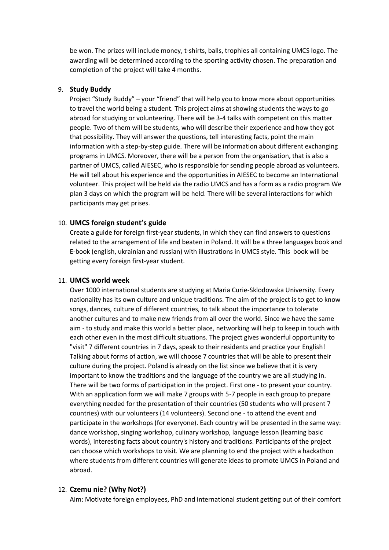be won. The prizes will include money, t-shirts, balls, trophies all containing UMCS logo. The awarding will be determined according to the sporting activity chosen. The preparation and completion of the project will take 4 months.

## 9. **Study Buddy**

Project "Study Buddy" – your "friend" that will help you to know more about opportunities to travel the world being a student. This project aims at showing students the ways to go abroad for studying or volunteering. There will be 3-4 talks with competent on this matter people. Two of them will be students, who will describe their experience and how they got that possibility. They will answer the questions, tell interesting facts, point the main information with a step-by-step guide. There will be information about different exchanging programs in UMCS. Moreover, there will be a person from the organisation, that is also a partner of UMCS, called AIESEC, who is responsible for sending people abroad as volunteers. He will tell about his experience and the opportunities in AIESEC to become an International volunteer. This project will be held via the radio UMCS and has a form as a radio program We plan 3 days on which the program will be held. There will be several interactions for which participants may get prises.

## 10. **UMCS foreign student's guide**

Create a guide for foreign first-year students, in which they can find answers to questions related to the arrangement of life and beaten in Poland. It will be a three languages book and E-book (english, ukrainian and russian) with illustrations in UMCS style. This book will be getting every foreign first-year student.

# 11. **UMCS world week**

Over 1000 international students are studying at Maria Curie-Sklodowska University. Every nationality has its own culture and unique traditions. The aim of the project is to get to know songs, dances, culture of different countries, to talk about the importance to tolerate another cultures and to make new friends from all over the world. Since we have the same aim - to study and make this world a better place, networking will help to keep in touch with each other even in the most difficult situations. The project gives wonderful opportunity to "visit" 7 different countries in 7 days, speak to their residents and practice your English! Talking about forms of action, we will choose 7 countries that will be able to present their culture during the project. Poland is already on the list since we believe that it is very important to know the traditions and the language of the country we are all studying in. There will be two forms of participation in the project. First one - to present your country. With an application form we will make 7 groups with 5-7 people in each group to prepare everything needed for the presentation of their countries (50 students who will present 7 countries) with our volunteers (14 volunteers). Second one - to attend the event and participate in the workshops (for everyone). Each country will be presented in the same way: dance workshop, singing workshop, culinary workshop, language lesson (learning basic words), interesting facts about country's history and traditions. Participants of the project can choose which workshops to visit. We are planning to end the project with a hackathon where students from different countries will generate ideas to promote UMCS in Poland and abroad.

#### 12. **Czemu nie? (Why Not?)**

Aim: Motivate foreign employees, PhD and international student getting out of their comfort